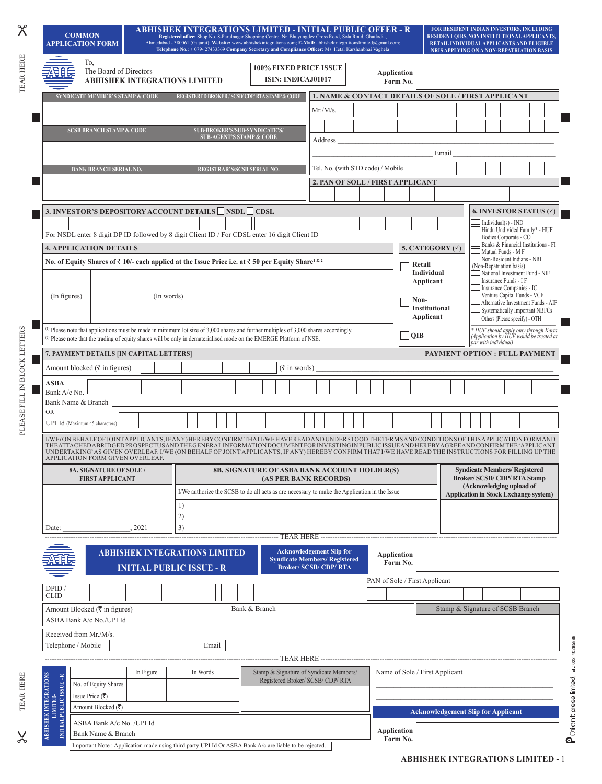| <b>COMMON</b><br><b>APPLICATION FORM</b>                                                                                                                                                                                                                                                                                                                                                                                                                                                                                                                                                            |                                      | Registered office: Shop No. 8-Parulnagar Shopping Centre, Nr. Bhuyangdev Cross Road, Sola Road, Ghatlodia,<br>Ahmedabad - 380061 (Gujarat); Website: www.abhishekintegrations.com; E-Mail: abhishekintegrationslimited@gmail.com;<br>Telephone No.: + 079-27433369 Company Secretary and Compliance Officer: Ms. Hetal Karshanbhai Vaghela |                                      |               |                                     | ABHISHEK INTEGRATIONS LIMITED - INITIAL PUBLIC OFFER - R                |  |                                |                                           | FOR RESIDENT INDIAN INVESTORS, INCLUDING | RESIDENT QIBS, NON INSTITUTIONAL APPLICANTS.<br>RETAIL INDIVIDUAL APPLICANTS AND ELIGIBLE<br>NRIS APPLYING ON A NON-REPATRIATION BASIS |                                                                   |  |
|-----------------------------------------------------------------------------------------------------------------------------------------------------------------------------------------------------------------------------------------------------------------------------------------------------------------------------------------------------------------------------------------------------------------------------------------------------------------------------------------------------------------------------------------------------------------------------------------------------|--------------------------------------|--------------------------------------------------------------------------------------------------------------------------------------------------------------------------------------------------------------------------------------------------------------------------------------------------------------------------------------------|--------------------------------------|---------------|-------------------------------------|-------------------------------------------------------------------------|--|--------------------------------|-------------------------------------------|------------------------------------------|----------------------------------------------------------------------------------------------------------------------------------------|-------------------------------------------------------------------|--|
| To,<br>The Board of Directors                                                                                                                                                                                                                                                                                                                                                                                                                                                                                                                                                                       | <b>ABHISHEK INTEGRATIONS LIMITED</b> |                                                                                                                                                                                                                                                                                                                                            |                                      |               |                                     | <b>100% FIXED PRICE ISSUE</b><br><b>ISIN: INEOCAJ01017</b>              |  | <b>Application</b><br>Form No. |                                           |                                          |                                                                                                                                        |                                                                   |  |
| <b>SYNDICATE MEMBER'S STAMP &amp; CODE</b>                                                                                                                                                                                                                                                                                                                                                                                                                                                                                                                                                          |                                      | REGISTERED BROKER / SCSB/ CDP/ RTA STAMP & CODE                                                                                                                                                                                                                                                                                            |                                      |               |                                     | 1. NAME & CONTACT DETAILS OF SOLE / FIRST APPLICANT                     |  |                                |                                           |                                          |                                                                                                                                        |                                                                   |  |
|                                                                                                                                                                                                                                                                                                                                                                                                                                                                                                                                                                                                     |                                      |                                                                                                                                                                                                                                                                                                                                            |                                      |               |                                     | Mr./M/s.                                                                |  |                                |                                           |                                          |                                                                                                                                        |                                                                   |  |
| <b>SCSB BRANCH STAMP &amp; CODE</b>                                                                                                                                                                                                                                                                                                                                                                                                                                                                                                                                                                 |                                      |                                                                                                                                                                                                                                                                                                                                            | <b>SUB-BROKER'S/SUB-SYNDICATE'S/</b> |               |                                     |                                                                         |  |                                |                                           |                                          |                                                                                                                                        |                                                                   |  |
|                                                                                                                                                                                                                                                                                                                                                                                                                                                                                                                                                                                                     |                                      |                                                                                                                                                                                                                                                                                                                                            | <b>SUB-AGENT'S STAMP &amp; CODE</b>  |               |                                     | Address                                                                 |  |                                |                                           |                                          |                                                                                                                                        |                                                                   |  |
|                                                                                                                                                                                                                                                                                                                                                                                                                                                                                                                                                                                                     |                                      |                                                                                                                                                                                                                                                                                                                                            |                                      |               |                                     |                                                                         |  |                                |                                           | Email                                    |                                                                                                                                        |                                                                   |  |
| <b>BANK BRANCH SERIAL NO.</b>                                                                                                                                                                                                                                                                                                                                                                                                                                                                                                                                                                       |                                      |                                                                                                                                                                                                                                                                                                                                            | REGISTRAR'S/SCSB SERIAL NO.          |               |                                     | Tel. No. (with STD code) / Mobile                                       |  |                                |                                           |                                          |                                                                                                                                        |                                                                   |  |
|                                                                                                                                                                                                                                                                                                                                                                                                                                                                                                                                                                                                     |                                      |                                                                                                                                                                                                                                                                                                                                            |                                      |               |                                     | 2. PAN OF SOLE / FIRST APPLICANT                                        |  |                                |                                           |                                          |                                                                                                                                        |                                                                   |  |
|                                                                                                                                                                                                                                                                                                                                                                                                                                                                                                                                                                                                     |                                      |                                                                                                                                                                                                                                                                                                                                            |                                      |               |                                     |                                                                         |  |                                |                                           |                                          |                                                                                                                                        |                                                                   |  |
| 3. INVESTOR'S DEPOSITORY ACCOUNT DETAILS NSDL CDSL                                                                                                                                                                                                                                                                                                                                                                                                                                                                                                                                                  |                                      |                                                                                                                                                                                                                                                                                                                                            |                                      |               |                                     |                                                                         |  |                                |                                           |                                          | 6. INVESTOR STATUS $(\check{v})$                                                                                                       |                                                                   |  |
|                                                                                                                                                                                                                                                                                                                                                                                                                                                                                                                                                                                                     |                                      |                                                                                                                                                                                                                                                                                                                                            |                                      |               |                                     |                                                                         |  |                                |                                           |                                          |                                                                                                                                        | $\exists$ Individual(s) - IND                                     |  |
| For NSDL enter 8 digit DP ID followed by 8 digit Client ID / For CDSL enter 16 digit Client ID                                                                                                                                                                                                                                                                                                                                                                                                                                                                                                      |                                      |                                                                                                                                                                                                                                                                                                                                            |                                      |               |                                     |                                                                         |  |                                |                                           |                                          |                                                                                                                                        | Hindu Undivided Family* - HUF<br>Bodies Corporate - CO            |  |
| <b>4. APPLICATION DETAILS</b>                                                                                                                                                                                                                                                                                                                                                                                                                                                                                                                                                                       |                                      |                                                                                                                                                                                                                                                                                                                                            |                                      |               |                                     |                                                                         |  |                                | 5. CATEGORY $(\checkmark)$                |                                          |                                                                                                                                        | Banks & Financial Institutions - FI<br>$\Box$ Mutual Funds - M F  |  |
| No. of Equity Shares of $\bar{\xi}$ 10/- each applied at the Issue Price i.e. at $\bar{\xi}$ 50 per Equity Share <sup>1 &amp; 2</sup>                                                                                                                                                                                                                                                                                                                                                                                                                                                               |                                      |                                                                                                                                                                                                                                                                                                                                            |                                      |               |                                     |                                                                         |  |                                | Retail                                    |                                          |                                                                                                                                        | Non-Resident Indians - NRI                                        |  |
|                                                                                                                                                                                                                                                                                                                                                                                                                                                                                                                                                                                                     |                                      |                                                                                                                                                                                                                                                                                                                                            |                                      |               |                                     |                                                                         |  |                                | Individual                                |                                          | (Non-Repatriation basis)                                                                                                               | National Investment Fund - NIF                                    |  |
|                                                                                                                                                                                                                                                                                                                                                                                                                                                                                                                                                                                                     |                                      |                                                                                                                                                                                                                                                                                                                                            |                                      |               |                                     |                                                                         |  |                                | Applicant                                 |                                          |                                                                                                                                        | □ Insurance Funds - I F<br>Insurance Companies - IC               |  |
| (In figures)                                                                                                                                                                                                                                                                                                                                                                                                                                                                                                                                                                                        | (In words)                           |                                                                                                                                                                                                                                                                                                                                            |                                      |               |                                     |                                                                         |  |                                | Non-                                      |                                          |                                                                                                                                        | Venture Capital Funds - VCF<br>Alternative Investment Funds - AIF |  |
|                                                                                                                                                                                                                                                                                                                                                                                                                                                                                                                                                                                                     |                                      |                                                                                                                                                                                                                                                                                                                                            |                                      |               |                                     |                                                                         |  |                                | <b>Institutional</b><br>Applicant         |                                          |                                                                                                                                        | Systematically Important NBFCs                                    |  |
| (1) Please note that applications must be made in minimum lot size of 3,000 shares and further multiples of 3,000 shares accordingly.                                                                                                                                                                                                                                                                                                                                                                                                                                                               |                                      |                                                                                                                                                                                                                                                                                                                                            |                                      |               |                                     |                                                                         |  |                                |                                           |                                          |                                                                                                                                        | $\Box$ Others (Please specify) - OTH                              |  |
| (2) Please note that the trading of equity shares will be only in dematerialised mode on the EMERGE Platform of NSE.                                                                                                                                                                                                                                                                                                                                                                                                                                                                                |                                      |                                                                                                                                                                                                                                                                                                                                            |                                      |               |                                     |                                                                         |  |                                | QIB                                       |                                          | * HUF should apply only through Karta<br>(Application by HUF would be treated at<br>par with individual)                               |                                                                   |  |
| 7. PAYMENT DETAILS JIN CAPITAL LETTERS]                                                                                                                                                                                                                                                                                                                                                                                                                                                                                                                                                             |                                      |                                                                                                                                                                                                                                                                                                                                            |                                      |               |                                     |                                                                         |  |                                |                                           |                                          | <b>PAYMENT OPTION : FULL PAYMENT</b>                                                                                                   |                                                                   |  |
| Amount blocked ( $\overline{\xi}$ in figures)                                                                                                                                                                                                                                                                                                                                                                                                                                                                                                                                                       |                                      |                                                                                                                                                                                                                                                                                                                                            |                                      |               | $(\bar{\bar{\mathbf{x}}}$ in words) |                                                                         |  |                                |                                           |                                          |                                                                                                                                        |                                                                   |  |
|                                                                                                                                                                                                                                                                                                                                                                                                                                                                                                                                                                                                     |                                      |                                                                                                                                                                                                                                                                                                                                            |                                      |               |                                     |                                                                         |  |                                |                                           |                                          |                                                                                                                                        |                                                                   |  |
|                                                                                                                                                                                                                                                                                                                                                                                                                                                                                                                                                                                                     |                                      |                                                                                                                                                                                                                                                                                                                                            |                                      |               |                                     |                                                                         |  |                                |                                           |                                          |                                                                                                                                        |                                                                   |  |
|                                                                                                                                                                                                                                                                                                                                                                                                                                                                                                                                                                                                     |                                      |                                                                                                                                                                                                                                                                                                                                            |                                      |               |                                     |                                                                         |  |                                |                                           |                                          |                                                                                                                                        |                                                                   |  |
|                                                                                                                                                                                                                                                                                                                                                                                                                                                                                                                                                                                                     |                                      |                                                                                                                                                                                                                                                                                                                                            |                                      |               |                                     |                                                                         |  |                                |                                           |                                          |                                                                                                                                        |                                                                   |  |
|                                                                                                                                                                                                                                                                                                                                                                                                                                                                                                                                                                                                     |                                      |                                                                                                                                                                                                                                                                                                                                            |                                      |               |                                     |                                                                         |  |                                |                                           |                                          |                                                                                                                                        |                                                                   |  |
|                                                                                                                                                                                                                                                                                                                                                                                                                                                                                                                                                                                                     |                                      |                                                                                                                                                                                                                                                                                                                                            |                                      |               |                                     |                                                                         |  |                                |                                           |                                          |                                                                                                                                        |                                                                   |  |
| <b>8A. SIGNATURE OF SOLE /</b>                                                                                                                                                                                                                                                                                                                                                                                                                                                                                                                                                                      |                                      |                                                                                                                                                                                                                                                                                                                                            |                                      |               |                                     | 8B. SIGNATURE OF ASBA BANK ACCOUNT HOLDER(S)                            |  |                                |                                           |                                          | <b>Syndicate Members/Registered</b>                                                                                                    |                                                                   |  |
| ASBA<br>Bank A/c No.<br>Bank Name & Branch<br><b>OR</b><br>UPI Id (Maximum 45 characters)<br>I/WE (ON BEHALF OF JOINT APPLICANTS, IF ANY) HEREBY CONFIRM THAT I/WE HAVE READAND UNDERSTOOD THE TERMS AND CONDITIONS OF THIS APPLICATION FORMAND<br>THEATTACHEDABRIDGEDPROSPECTUSANDTHEGENERALINFORMATIONDOCUMENTFORINVESTINGINPUBLICISSUEANDHEREBYAGREEANDCONFIRMTHE'APPLICANT<br>UNDERTAKING' AS GIVEN OVERLEAF. I/WE (ON BEHALF OF JOINT APPLICANTS, IF ANY) HEREBY CONFIRM THAT I/WE HAVE READ THE INSTRUCTIONS FOR FILLING UP THE<br>APPLICATION FORM GIVEN OVERLEAF.<br><b>FIRST APPLICANT</b> |                                      | I/We authorize the SCSB to do all acts as are necessary to make the Application in the Issue                                                                                                                                                                                                                                               |                                      |               |                                     | (AS PER BANK RECORDS)                                                   |  |                                |                                           |                                          | Broker/ SCSB/ CDP/ RTA Stamp<br>(Acknowledging upload of                                                                               |                                                                   |  |
|                                                                                                                                                                                                                                                                                                                                                                                                                                                                                                                                                                                                     |                                      | 1)                                                                                                                                                                                                                                                                                                                                         |                                      |               |                                     |                                                                         |  |                                |                                           |                                          | <b>Application in Stock Exchange system)</b>                                                                                           |                                                                   |  |
|                                                                                                                                                                                                                                                                                                                                                                                                                                                                                                                                                                                                     |                                      | 2)                                                                                                                                                                                                                                                                                                                                         |                                      |               |                                     |                                                                         |  |                                |                                           |                                          |                                                                                                                                        |                                                                   |  |
| Date:                                                                                                                                                                                                                                                                                                                                                                                                                                                                                                                                                                                               | , 2021                               | 3)                                                                                                                                                                                                                                                                                                                                         |                                      |               |                                     |                                                                         |  |                                |                                           |                                          |                                                                                                                                        |                                                                   |  |
|                                                                                                                                                                                                                                                                                                                                                                                                                                                                                                                                                                                                     |                                      |                                                                                                                                                                                                                                                                                                                                            |                                      |               | <b>TEAR HERE</b>                    |                                                                         |  |                                |                                           |                                          |                                                                                                                                        |                                                                   |  |
|                                                                                                                                                                                                                                                                                                                                                                                                                                                                                                                                                                                                     | <b>ABHISHEK INTEGRATIONS LIMITED</b> |                                                                                                                                                                                                                                                                                                                                            |                                      |               |                                     | <b>Acknowledgement Slip for</b><br><b>Syndicate Members/ Registered</b> |  | <b>Application</b><br>Form No. |                                           |                                          |                                                                                                                                        |                                                                   |  |
|                                                                                                                                                                                                                                                                                                                                                                                                                                                                                                                                                                                                     | <b>INITIAL PUBLIC ISSUE - R</b>      |                                                                                                                                                                                                                                                                                                                                            |                                      |               |                                     | <b>Broker/SCSB/CDP/RTA</b>                                              |  |                                |                                           |                                          |                                                                                                                                        |                                                                   |  |
|                                                                                                                                                                                                                                                                                                                                                                                                                                                                                                                                                                                                     |                                      |                                                                                                                                                                                                                                                                                                                                            |                                      |               |                                     |                                                                         |  |                                | PAN of Sole / First Applicant             |                                          |                                                                                                                                        |                                                                   |  |
|                                                                                                                                                                                                                                                                                                                                                                                                                                                                                                                                                                                                     |                                      |                                                                                                                                                                                                                                                                                                                                            |                                      | Bank & Branch |                                     |                                                                         |  |                                |                                           |                                          | Stamp & Signature of SCSB Branch                                                                                                       |                                                                   |  |
|                                                                                                                                                                                                                                                                                                                                                                                                                                                                                                                                                                                                     |                                      |                                                                                                                                                                                                                                                                                                                                            |                                      |               |                                     |                                                                         |  |                                |                                           |                                          |                                                                                                                                        |                                                                   |  |
|                                                                                                                                                                                                                                                                                                                                                                                                                                                                                                                                                                                                     |                                      |                                                                                                                                                                                                                                                                                                                                            |                                      |               |                                     |                                                                         |  |                                |                                           |                                          |                                                                                                                                        |                                                                   |  |
|                                                                                                                                                                                                                                                                                                                                                                                                                                                                                                                                                                                                     |                                      | Email                                                                                                                                                                                                                                                                                                                                      |                                      |               |                                     |                                                                         |  |                                |                                           |                                          |                                                                                                                                        |                                                                   |  |
| DPID/<br><b>CLID</b><br>Amount Blocked ( $\overline{\xi}$ in figures)<br>ASBA Bank A/c No./UPI Id<br>Received from Mr./M/s.<br>Telephone / Mobile                                                                                                                                                                                                                                                                                                                                                                                                                                                   |                                      |                                                                                                                                                                                                                                                                                                                                            |                                      |               |                                     | --------- TEAR HERE -------                                             |  |                                |                                           |                                          |                                                                                                                                        |                                                                   |  |
|                                                                                                                                                                                                                                                                                                                                                                                                                                                                                                                                                                                                     | In Figure                            | In Words                                                                                                                                                                                                                                                                                                                                   |                                      |               |                                     | Stamp & Signature of Syndicate Members/                                 |  |                                | Name of Sole / First Applicant            |                                          |                                                                                                                                        |                                                                   |  |
| No. of Equity Shares                                                                                                                                                                                                                                                                                                                                                                                                                                                                                                                                                                                |                                      |                                                                                                                                                                                                                                                                                                                                            |                                      |               |                                     | Registered Broker/ SCSB/ CDP/ RTA                                       |  |                                |                                           |                                          |                                                                                                                                        |                                                                   |  |
| Issue Price (₹)                                                                                                                                                                                                                                                                                                                                                                                                                                                                                                                                                                                     |                                      |                                                                                                                                                                                                                                                                                                                                            |                                      |               |                                     |                                                                         |  |                                |                                           |                                          |                                                                                                                                        |                                                                   |  |
| Amount Blocked (そ)                                                                                                                                                                                                                                                                                                                                                                                                                                                                                                                                                                                  |                                      |                                                                                                                                                                                                                                                                                                                                            |                                      |               |                                     |                                                                         |  |                                | <b>Acknowledgement Slip for Applicant</b> |                                          |                                                                                                                                        |                                                                   |  |
| <b>INITIAL PUBLIC ISSUE - R</b><br>LIMITED-<br>ASBA Bank A/c No. /UPI Id<br>Bank Name & Branch                                                                                                                                                                                                                                                                                                                                                                                                                                                                                                      |                                      |                                                                                                                                                                                                                                                                                                                                            |                                      |               |                                     |                                                                         |  | <b>Application</b>             |                                           |                                          |                                                                                                                                        |                                                                   |  |

PLEASE FILL IN BLOCK LETTERS TEAR HERE TEAR HERE

PLEASE FILL IN BLOCK LETTERS

X

TEAR HERE

 $\frac{1}{2}$ 

 $-$  TEAR HERE

5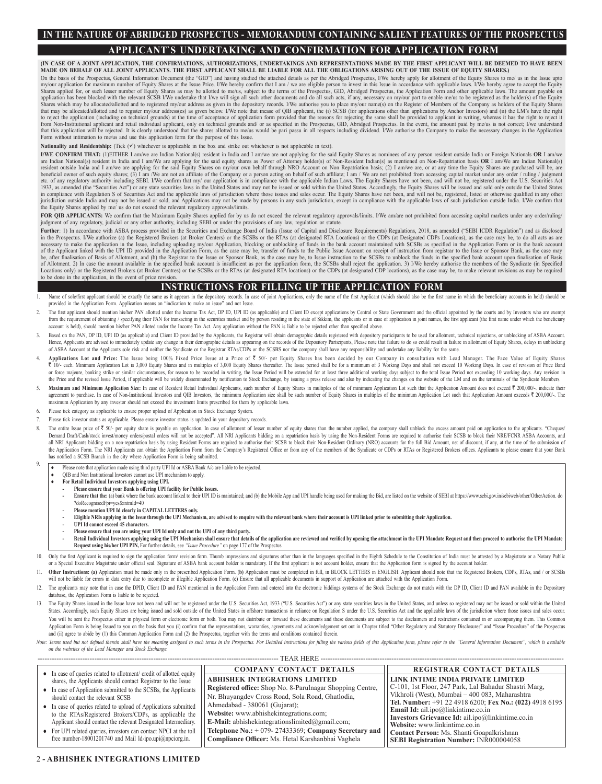# THE NATURE OF ABRIDGED PROSPECTUS - MEMORANDUM CONTAINING SALIENT FEATURES OF THE PROSPEC **APPLICANT`S UNDERTAKING AND CONFIRMATION FOR APPLICATION FORM**

#### (IN CASE OF A JOINT APPLICATION, THE CONFIRMATIONS, AUTHORIZATIONS, UNDERTAKINGS AND REPRESENTATIONS MADE BY THE FIRST APPLICANT WILL BE DEEMED TO HAVE BEEN **MADE ON BEHALF OF ALL JOINT APPLICANTS. THE FIRST APPLICANT SHALL BE LIABLE FOR ALL THE OBLIGATIONS ARISING OUT OF THE ISSUE OF EQUITY SHARES.)**

On the basis of the Prospectus, General Information Document (the "GID") and having studied the attached details as per the Abridged Prospectus, I/We hereby apply for allotment of the Equity Shares to me/ us in the Issue u my/our application for maximum number of Equity Shares at the Issue Price. I/We hereby confirm that I am / we are eligible person to invest in this Issue in accordance with applicable laws. I/We hereby agree to accept the Shares applied for, or such lesser number of Equity Shares as may be allotted to me/us, subject to the terms of the Prospectus, GID, Abridged Prospectus, the Application Form and other applicable laws. The amount payable o ares which may be allocated/allotted and to registered my/our address as given in the depository records. I/We authorise you to place my/our name(s) on the Register of Members of the Company as holders of the Equity Sha that may be allocated/allotted and to register my/our address(es) as given below. I/We note that incase of QIB applicant, the (i) SCSB (for applications other than applications by Anchor Investors) and (ii) the LM's have t from Non-Institutional applicant and retail individual applicant, only on technical grounds and/ or as specified in the Prospectus, GID, Abridged Prospectus. In the event, the amount paid by me/us is not correct; I/we unde not that this application will be rejected. It is clearly understood that the shares allotted to me/us would be pari passu in all respects including dividend. I/We authorise the Company to make the necessary changes in the Form without intimation to me/us and use this application form for the purpose of this Issue.

### Nationality and Residentship: (Tick  $(\checkmark)$  whichever is applicable in the box and strike out whichever is not applicable in text).

I/WE CONFIRM THAT: (1)EITHER I am/we are Indian National(s) resident in India and I am/we are not applying for the said Equity Shares as nominees of any person resident outside India or Foreign Nationals OR I am/we are Indian National(s) resident in India and I am/We are applying for the said equity shares as Power of Attorney holder(s) of Non-Resident Indian(s) as mentioned on Non-Repatriation basis OR I am/We are Indian National(s) beneficial owner of such equity shares; (3) I am /We are not an affiliate of the Company or a person acting on behalf of such affiliate; I am / We are not prohibited from accessing capital market under any order / ruling / jurisdiction outside India and may not be issued or sold, and Applications may not be made by persons in any such jurisdiction, except in compliance with the applicable laws of such jurisdiction outside India. I/We confirm

FOR QIB APPLICANTS: We confirm that the Maximum Equity Shares applied for by us do not exceed the relevant regulatory approvals/limits. I/We am/are not prohibited from accessing capital markets under any order/ruling/<br>judg

Further: 1) In accordance with ASBA process provided in the Securities and Exchange Board of India (Issue of Capital and Disclosure Requirements) Regulations, 2018, as amended ("SEBI ICDR Regulation") and as disclosed in t be, after finalisation of Basis of Allotment, and (b) the Registrar to the Issue or Sponsor Bank, as the case may be, to Issue instruction to the SCSBs to unblock the funds in the specified bank account upon finalisation o Locations only) or the Registered Brokers (at Broker Centres) or the SCSBs or the RTAs (at designated RTA locations) or the CDPs (at designated CDP locations), as the case may be, to make relevant revisions as may be requi to be done in the application, in the event of price revision.

## **INSTRUCTIONS FOR FILLING UP THE APPLICATION FORM**

- Name of sole/first applicant should be exactly the same as it appears in the depository records. In case of joint Applications, only the name of the first Applicant (which should also be the first name in which the benefic provided in the Application Form. Application means an "indication to make an issue" and not Issue.
- 2. The first applicant should mention his/her PAN allotted under the Income Tax Act, DP ID, UPI ID (as applicable) and Client ID except applications by Central or State Government and the official appointed by the courts a from the requirement of obtaining / specifying their PAN for transacting in the securities market and by person residing in the state of Sikkim, the applicants or in case of application in joint names, the first applicant account is held), should mention his/her PAN alloted under the Income Tax Act. Any application without the PAN is liable to be rejected other than specified above.
- Based on the PAN, DP ID, UPI ID (as applicable) and Client ID provided by the Applicants, the Registrar will obtain demographic details registered with depository participants to be used for allotment, technical rejections Hence, Applicants are advised to immediately update any change in their demographic details as appearing on the records of the Depository Participants, Please note that failure to do so could result in failure in allotment of ASBA Account at the Applicants sole risk and neither the Syndicate or the Registrar RTAs/CDPs or the SCSBS nor the company shall have any responsibility and undertake any liability for the same.
- Applications Lot and Price: The Issue being 100% Fixed Price Issue at a Price of ₹ 50/- per Equity Shares has been decided by our Company in consultation with Lead Manager. The Face Value of Equity Shares 10/ each. Minimum Application Lot is 3,000 Equity Shares and in multiples of 3,000 Equity Shares thereafter. The Issue period shall be for a minimum of 3 Working Days and shall not exceed 10 Working Days. In case of revisi or force majeure, banking strike or similar circumstances, for reason to be recorded in writing, the Issue Period will be extended for at least three additional working days subject to the total Issue Period not exceeding
- 5. Maximum and Minimum Application Size: In case of Resident Retail Individual Applicants, such number of Equity Shares in multiples of the of minimum Application Lot such that the Application Amount does not exceed ₹ 200 maximum Application by any investor should not exceed the investment limits prescribed for them by applicable laws.
- 6. Please tick category as applicable to ensure proper upload of Application in Stock Exchange System.
- Please tick investor status as applicable. Please ensure investor status is updated in your depository records.
- The entire Issue price of ₹ 50/- per equity share is payable on application. In case of allotment of lesser number of equity shares than the number applied, the company shall unblock the excess amount paid on application Demand Draft/Cash/stock invest/money orders/postal orders will not be accepted". All NRI Applicants bidding on a repatriation basis by using the Non-Resident Forms are required to authorise their SCSB to block their NRE/FC the Application Form. The NRI Applicants can obtain the Application Form from the Company's Registered Office or from any of the members of the Syndicate or CDPs or RTAs or Registered Brokers offices. Applicants to please has notified a SCSB Branch in the city where Application Form is being submitted.
- 9. Please note that application made using third party UPI Id or ASBA Bank A/c are liable to be rejected.
	- QIB and Non Institutional Investors cannot use UPI mechanism to apply.
	-
	- **For Retail Individual Investors applying using UPI. - Please ensure that your Bank is offering UPI facility for Public Issues.**
		- Ensure that the: (a) bank where the bank account linked to their UPI ID is maintained; and (b) the Mobile App and UPI handle being used for making the Bid, are listed on the website of SEBI at https://www.sebi.gov.in/sebiw ?doRecognisedFpi=yes&intmId=40
		- **- Please mention UPI Id clearly in CAPITAL LETTERS only.**
		- **- Eligible NRIs applying in the Issue through the UPI Mechanism, are advised to enquire with the relevant bank where their account is UPI linked prior to submitting their Application.**
		- **- UPI Id cannot exceed 45 characters.**
		- **- Please ensure that you are using your UPI Id only and not the UPI of any third party.**
	- Retail Individual Investors applying using the UPI Mechanism shall ensure that details of the application are reviewed and verified by opening the attachment in the UPI Mandate Request and then proceed to authorise the UPI **Request using his/her UPI PIN,** For further details, see *"Issue Procedure"* on page 177 of the Prospectus
- 10. Only the first Applicant is required to sign the application form/ revision form. Thumb impressions and signatures other than in the languages specified in the Eighth Schedule to the Constitution of India must be attes or a Special Executive Magistrate under official seal. Signature of ASBA bank account holder is mandatory. If the first applicant is not account holder, ensure that the Application form is signed by the account holder
- Other Instructions: (a) Application must be made only in the prescribed Application Form. (b) Application must be completed in full, in BLOCK LETTERS in ENGLISH. Applicant should note that the Registered Brokers, CDPs, RTA will not be liable for errors in data entry due to incomplete or illegible Application Form. (c) Ensure that all applicable documents in support of Application are attached with the Application Form.
- 12. The applicants may note that in case the DPID, Client ID and PAN mentioned in the Application Form and entered into the electronic biddings systems of the Stock Exchange do not match with the DP ID, Client ID and PAN a database, the Application Form is liable to be rejected.
- 13. The Equity Shares issued in the Issue have not been and will not be registered under the U.S. Securities Act, 1933 ("U.S. Securities Act") or any state securities Act") or any state securities laws in the United States States. Accordingly, such Equity Shares are being issued and sold outside of the United States in offshore transactions in reliance on Regulation S under the U.S. Securities Act and the applicable laws of the jurisdiction You will be sent the Prospectus either in physical form or electronic form or both. You may not distribute or forward these documents and these documents are subject to the disclaimers and restrictions contained in or acco Application Form is being Issued to you on the basis that you (i) confirm that the representations, warranties, agreements and acknowledgement set out in Chapter titled "Other Regulatory and Statutory Disclosures" and "Iss and (ii) agree to abide by (1) this Common Application Form and (2) the Prospectus, together with the terms and conditions contained therein

#### Note: Terms used but not defined therein shall have the meaning assigned to such terms in the Prospectus. For Detailed instructions for filling the various fields of this Application form, please refer to the "General Info *on the websites of the Lead Manager and Stock Exchange.*

|                                                                                                                          | TEAR HERE.<br>                                                                                                   |                                                                                                           |
|--------------------------------------------------------------------------------------------------------------------------|------------------------------------------------------------------------------------------------------------------|-----------------------------------------------------------------------------------------------------------|
| • In case of queries related to allotment/ credit of allotted equity                                                     | <b>COMPANY CONTACT DETAILS</b>                                                                                   | <b>REGISTRAR CONTACT DETAILS</b>                                                                          |
| shares, the Applicants should contact Registrar to the Issue                                                             | <b>ABHISHEK INTEGRATIONS LIMITED</b>                                                                             | LINK INTIME INDIA PRIVATE LIMITED                                                                         |
| • In case of Application submitted to the SCSBs, the Applicants                                                          | Registered office: Shop No. 8-Parulnagar Shopping Centre,                                                        | C-101, 1st Floor, 247 Park, Lal Bahadur Shastri Marg,                                                     |
| should contact the relevant SCSB                                                                                         | Nr. Bhuyangdev Cross Road, Sola Road, Ghatlodia,                                                                 | Vikhroli (West), Mumbai - 400 083, Maharashtra<br>Tel. Number: +91 22 4918 6200; Fex No.: (022) 4918 6195 |
| • In case of queries related to upload of Applications submitted                                                         | Ahmedabad - 380061 (Gujarat);                                                                                    | Email Id: ail.ipo@linkintime.co.in                                                                        |
| to the RTAs/Registered Brokers/CDPs, as applicable the<br>Applicant should contact the relevant Designated Intermediary. | Website: www.abhishekintegrations.com;                                                                           | Investors Grievance Id: ail.ipo@linkintime.co.in                                                          |
| • For UPI related queries, investors can contact NPCI at the toll                                                        | <b>E-Mail:</b> abhishekintegrationslimited@gmail.com;<br>Telephone No.: $+$ 079- 27433369; Company Secretary and | Website: www.linkintime.co.in                                                                             |
| free number-18001201740 and Mail ld-ipo.upi@npciorg.in.                                                                  | Compliance Officer: Ms. Hetal Karshanbhai Vaghela                                                                | Contact Person: Ms. Shanti Goapalkrishnan<br><b>SEBI Registration Number: INR000004058</b>                |
|                                                                                                                          |                                                                                                                  |                                                                                                           |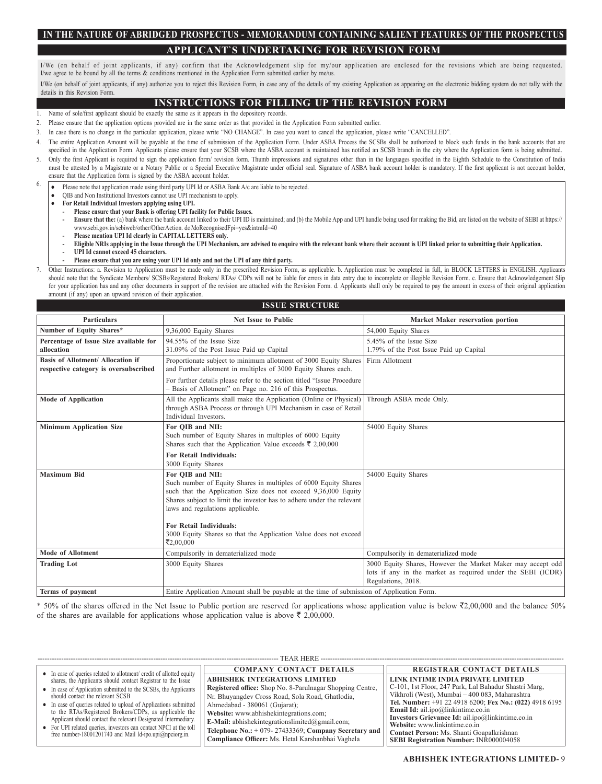# **IN THE NATURE OF ABRIDGED PROSPECTUS - MEMORANDUM CONTAINING SALIENT FEATURES OF THE PROSPECTUS APPLICANT`S UNDERTAKING FOR REVISION FORM**

I/We (on behalf of joint applicants, if any) confirm that the Acknowledgement slip for my/our application are enclosed for the revisions which are being requested. I/we agree to be bound by all the terms & conditions mentioned in the Application Form submitted earlier by me/us.

I/We (on behalf of joint applicants, if any) authorize you to reject this Revision Form, in case any of the details of my existing Application as appearing on the electronic bidding system do not tally with the details in this Revision Form.

## **INSTRUCTIONS FOR FILLING UP THE REVISION FORM**

- 1. Name of sole/first applicant should be exactly the same as it appears in the depository records.
- 2. Please ensure that the application options provided are in the same order as that provided in the Application Form submitted earlier.
- 3. In case there is no change in the particular application, please write "NO CHANGE". In case you want to cancel the application, please write "CANCELLED".
- 4. The entire Application Amount will be payable at the time of submission of the Application Form. Under ASBA Process the SCSBs shall be authorized to block such funds in the bank accounts that are
- specified in the Application Form. Applicants please ensure that your SCSB where the ASBA account is maintained has notified an SCSB branch in the city where the Application form is being submitted. Only the first Applicant is required to sign the application form/ revision form. Thumb impressions and signatures other than in the languages specified in the Eighth Schedule to the Constitution of India must be attested by a Magistrate or a Notary Public or a Special Executive Magistrate under official seal. Signature of ASBA bank account holder is mandatory. If the first applicant is not account holder, ensure that the Application form is signed by the ASBA account holder.
- 6. Please note that application made using third party UPI Id or ASBA Bank A/c are liable to be rejected.
	- QIB and Non Institutional Investors cannot use UPI mechanism to apply.
	- For Retail Individual Investors applying using UPI.
		- **- Please ensure that your Bank is offering UPI facility for Public Issues.**
		- **Ensure that the:** (a) bank where the bank account linked to their UPI ID is maintained; and (b) the Mobile App and UPI handle being used for making the Bid, are listed on the website of SEBI at https:// www.sebi.gov.in/sebiweb/other/OtherAction. do?doRecognisedFpi=yes&intmId=40
		- **- Please mention UPI Id clearly in CAPITAL LETTERS only.**
		- **- Eligible NRIs applying in the Issue through the UPI Mechanism, are advised to enquire with the relevant bank where their account is UPI linked prior to submitting their Application.**
		- **- UPI Id cannot exceed 45 characters.**
	- **- Please ensure that you are using your UPI Id only and not the UPI of any third party.**

7. Other Instructions: a. Revision to Application must be made only in the prescribed Revision Form, as applicable. b. Application must be completed in full, in BLOCK LETTERS in ENGLISH. Applicants should note that the Syndicate Members/ SCSBs/Registered Brokers/ RTAs/ CDPs will not be liable for errors in data entry due to incomplete or illegible Revision Form. c. Ensure that Acknowledgement Slip for your application has and any other documents in support of the revision are attached with the Revision Form. d. Applicants shall only be required to pay the amount in excess of their original application amount (if any) upon an upward revision of their application.

### **ISSUE STRUCTURE**

| <b>Particulars</b>                                                                | <b>Net Issue to Public</b>                                                                                                                                                                                                                                         | <b>Market Maker reservation portion</b>                                                                                                          |
|-----------------------------------------------------------------------------------|--------------------------------------------------------------------------------------------------------------------------------------------------------------------------------------------------------------------------------------------------------------------|--------------------------------------------------------------------------------------------------------------------------------------------------|
| Number of Equity Shares*                                                          | 9,36,000 Equity Shares                                                                                                                                                                                                                                             | 54,000 Equity Shares                                                                                                                             |
| Percentage of Issue Size available for<br>allocation                              | 94.55% of the Issue Size<br>31.09% of the Post Issue Paid up Capital                                                                                                                                                                                               | 5.45% of the Issue Size<br>1.79% of the Post Issue Paid up Capital                                                                               |
| <b>Basis of Allotment/ Allocation if</b><br>respective category is oversubscribed | Proportionate subject to minimum allotment of 3000 Equity Shares<br>and Further allotment in multiples of 3000 Equity Shares each.                                                                                                                                 | Firm Allotment                                                                                                                                   |
|                                                                                   | For further details please refer to the section titled "Issue Procedure"<br>- Basis of Allotment" on Page no. 216 of this Prospectus.                                                                                                                              |                                                                                                                                                  |
| <b>Mode of Application</b>                                                        | All the Applicants shall make the Application (Online or Physical)<br>through ASBA Process or through UPI Mechanism in case of Retail<br>Individual Investors.                                                                                                     | Through ASBA mode Only.                                                                                                                          |
| <b>Minimum Application Size</b>                                                   | For OIB and NII:<br>Such number of Equity Shares in multiples of 6000 Equity<br>Shares such that the Application Value exceeds ₹ 2,00,000                                                                                                                          | 54000 Equity Shares                                                                                                                              |
|                                                                                   | <b>For Retail Individuals:</b><br>3000 Equity Shares                                                                                                                                                                                                               |                                                                                                                                                  |
| <b>Maximum Bid</b>                                                                | For OIB and NII:<br>Such number of Equity Shares in multiples of 6000 Equity Shares<br>such that the Application Size does not exceed 9,36,000 Equity<br>Shares subject to limit the investor has to adhere under the relevant<br>laws and regulations applicable. | 54000 Equity Shares                                                                                                                              |
|                                                                                   | <b>For Retail Individuals:</b><br>3000 Equity Shares so that the Application Value does not exceed<br>₹2,00,000                                                                                                                                                    |                                                                                                                                                  |
| <b>Mode of Allotment</b>                                                          | Compulsorily in dematerialized mode                                                                                                                                                                                                                                | Compulsorily in dematerialized mode                                                                                                              |
| <b>Trading Lot</b>                                                                | 3000 Equity Shares                                                                                                                                                                                                                                                 | 3000 Equity Shares, However the Market Maker may accept odd<br>lots if any in the market as required under the SEBI (ICDR)<br>Regulations, 2018. |
| Terms of payment                                                                  | Entire Application Amount shall be payable at the time of submission of Application Form.                                                                                                                                                                          |                                                                                                                                                  |

\* 50% of the shares offered in the Net Issue to Public portion are reserved for applications whose application value is below  $\overline{(}2,00,000$  and the balance 50% of the shares are available for applications whose application value is above  $\bar{\tau}$  2,00,000.

|                                                                                                                          | --------------------------------                          |                                                         |
|--------------------------------------------------------------------------------------------------------------------------|-----------------------------------------------------------|---------------------------------------------------------|
|                                                                                                                          |                                                           |                                                         |
| • In case of queries related to allotment/ credit of allotted equity                                                     | <b>COMPANY CONTACT DETAILS</b>                            | <b>REGISTRAR CONTACT DETAILS</b>                        |
| shares, the Applicants should contact Registrar to the Issue                                                             | <b>ABHISHEK INTEGRATIONS LIMITED</b>                      | LINK INTIME INDIA PRIVATE LIMITED                       |
| • In case of Application submitted to the SCSBs, the Applicants                                                          | Registered office: Shop No. 8-Parulnagar Shopping Centre, | C-101, 1st Floor, 247 Park, Lal Bahadur Shastri Marg,   |
| should contact the relevant SCSB                                                                                         | Nr. Bhuyangdev Cross Road, Sola Road, Ghatlodia,          | Vikhroli (West), Mumbai - 400 083, Maharashtra          |
| In case of queries related to upload of Applications submitted<br>to the RTAs/Registered Brokers/CDPs, as applicable the | Ahmedabad - 380061 (Gujarat);                             | Tel. Number: +91 22 4918 6200; Fex No.: (022) 4918 6195 |
|                                                                                                                          | Website: www.abhishekintegrations.com;                    | Email Id: ail.ipo@linkintime.co.in                      |
| Applicant should contact the relevant Designated Intermediary.                                                           |                                                           | Investors Grievance Id: ail.ipo@linkintime.co.in        |
| • For UPI related queries, investors can contact NPCI at the toll                                                        | <b>E-Mail</b> : abhishekintegrationslimited@gmail.com;    | Website: www.linkintime.co.in                           |
| free number-18001201740 and Mail ld-ipo.upi@npciorg.in.                                                                  | Telephone No.: $+$ 079- 27433369; Company Secretary and   | Contact Person: Ms. Shanti Goapalkrishnan               |
|                                                                                                                          | Compliance Officer: Ms. Hetal Karshanbhai Vaghela         | <b>SEBI Registration Number: INR000004058</b>           |